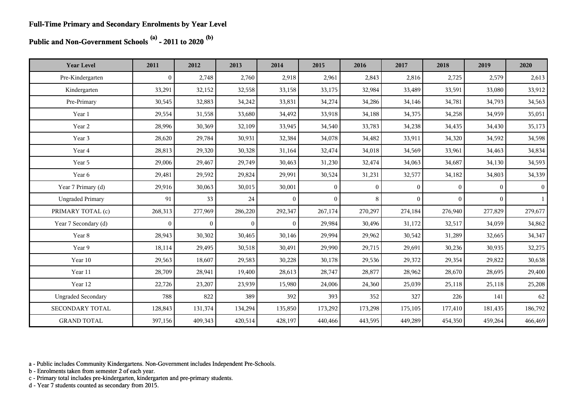**Public and Non-Government Schools (a) - 2011 to 2020 (b)**

| <b>Year Level</b>         | 2011         | 2012           | 2013           | 2014           | 2015           | 2016           | 2017         | 2018         | 2019           | 2020         |
|---------------------------|--------------|----------------|----------------|----------------|----------------|----------------|--------------|--------------|----------------|--------------|
| Pre-Kindergarten          | $\mathbf{0}$ | 2,748          | 2,760          | 2,918          | 2,961          | 2,843          | 2,816        | 2,725        | 2,579          | 2,613        |
| Kindergarten              | 33,291       | 32,152         | 32,558         | 33,158         | 33,175         | 32,984         | 33,489       | 33,591       | 33,080         | 33,912       |
| Pre-Primary               | 30,545       | 32,883         | 34,242         | 33,831         | 34,274         | 34,286         | 34,146       | 34,781       | 34,793         | 34,563       |
| Year 1                    | 29,554       | 31,558         | 33,680         | 34,492         | 33,918         | 34,188         | 34,375       | 34,258       | 34,959         | 35,051       |
| Year 2                    | 28,996       | 30,369         | 32,109         | 33,945         | 34,540         | 33,783         | 34,238       | 34,435       | 34,430         | 35,173       |
| Year 3                    | 28,620       | 29,784         | 30,931         | 32,384         | 34,078         | 34,482         | 33,911       | 34,320       | 34,592         | 34,598       |
| Year 4                    | 28,813       | 29,320         | 30,328         | 31,164         | 32,474         | 34,018         | 34,569       | 33,961       | 34,463         | 34,834       |
| Year 5                    | 29,006       | 29,467         | 29,749         | 30,463         | 31,230         | 32,474         | 34,063       | 34,687       | 34,130         | 34,593       |
| Year 6                    | 29,481       | 29,592         | 29,824         | 29,991         | 30,524         | 31,231         | 32,577       | 34,182       | 34,803         | 34,339       |
| Year 7 Primary (d)        | 29,916       | 30,063         | 30,015         | 30,001         | $\overline{0}$ | $\overline{0}$ | $\mathbf{0}$ | $\Omega$     | $\mathbf{0}$   | $\mathbf{0}$ |
| <b>Ungraded Primary</b>   | 91           | 33             | 24             | $\overline{0}$ | $\mathbf{0}$   | 8              | $\mathbf{0}$ | $\mathbf{0}$ | $\overline{0}$ | $\mathbf{1}$ |
| PRIMARY TOTAL (c)         | 268,313      | 277,969        | 286,220        | 292,347        | 267,174        | 270,297        | 274,184      | 276,940      | 277,829        | 279,677      |
| Year 7 Secondary (d)      | $\mathbf{0}$ | $\overline{0}$ | $\overline{0}$ | $\theta$       | 29,984         | 30,496         | 31,172       | 32,517       | 34,059         | 34,862       |
| Year 8                    | 28,943       | 30,302         | 30,465         | 30,146         | 29,994         | 29,962         | 30,542       | 31,289       | 32,665         | 34,347       |
| Year 9                    | 18,114       | 29,495         | 30,518         | 30,491         | 29,990         | 29,715         | 29,691       | 30,236       | 30,935         | 32,275       |
| Year 10                   | 29,563       | 18,607         | 29,583         | 30,228         | 30,178         | 29,536         | 29,372       | 29,354       | 29,822         | 30,638       |
| Year 11                   | 28,709       | 28,941         | 19,400         | 28,613         | 28,747         | 28,877         | 28,962       | 28,670       | 28,695         | 29,400       |
| Year 12                   | 22,726       | 23,207         | 23,939         | 15,980         | 24,006         | 24,360         | 25,039       | 25,118       | 25,118         | 25,208       |
| <b>Ungraded Secondary</b> | 788          | 822            | 389            | 392            | 393            | 352            | 327          | 226          | 141            | 62           |
| SECONDARY TOTAL           | 128,843      | 131,374        | 134,294        | 135,850        | 173,292        | 173,298        | 175,105      | 177,410      | 181,435        | 186,792      |
| <b>GRAND TOTAL</b>        | 397,156      | 409,343        | 420,514        | 428,197        | 440,466        | 443,595        | 449,289      | 454,350      | 459,264        | 466,469      |

a - Public includes Community Kindergartens. Non-Government includes Independent Pre-Schools.

b - Enrolments taken from semester 2 of each year.

c - Primary total includes pre-kindergarten, kindergarten and pre-primary students.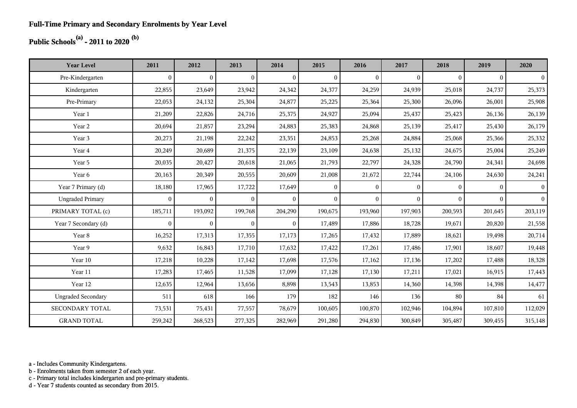## **Public Schools(a) - 2011 to 2020 (b)**

| <b>Year Level</b>         | 2011         | 2012           | 2013           | 2014         | 2015           | 2016           | 2017             | 2018         | 2019         | 2020           |
|---------------------------|--------------|----------------|----------------|--------------|----------------|----------------|------------------|--------------|--------------|----------------|
| Pre-Kindergarten          | $\mathbf{0}$ | $\overline{0}$ | $\overline{0}$ | $\mathbf{0}$ | $\overline{0}$ | $\overline{0}$ | $\mathbf{0}$     | $\mathbf{0}$ | $\Omega$     | $\overline{0}$ |
| Kindergarten              | 22,855       | 23,649         | 23,942         | 24,342       | 24,377         | 24,259         | 24,939           | 25,018       | 24,737       | 25,373         |
| Pre-Primary               | 22,053       | 24,132         | 25,304         | 24,877       | 25,225         | 25,364         | 25,300           | 26,096       | 26,001       | 25,908         |
| Year 1                    | 21,209       | 22,826         | 24,716         | 25,375       | 24,927         | 25,094         | 25,437           | 25,423       | 26,136       | 26,139         |
| Year 2                    | 20,694       | 21,857         | 23,294         | 24,883       | 25,383         | 24,868         | 25,139           | 25,417       | 25,430       | 26,179         |
| Year 3                    | 20,273       | 21,198         | 22,242         | 23,351       | 24,853         | 25,268         | 24,884           | 25,068       | 25,366       | 25,332         |
| Year 4                    | 20,249       | 20,689         | 21,375         | 22,139       | 23,109         | 24,638         | 25,132           | 24,675       | 25,004       | 25,249         |
| Year 5                    | 20,035       | 20,427         | 20,618         | 21,065       | 21,793         | 22,797         | 24,328           | 24,790       | 24,341       | 24,698         |
| Year 6                    | 20,163       | 20,349         | 20,555         | 20,609       | 21,008         | 21,672         | 22,744           | 24,106       | 24,630       | 24,241         |
| Year 7 Primary (d)        | 18,180       | 17,965         | 17,722         | 17,649       | $\mathbf{0}$   | $\overline{0}$ | $\mathbf{0}$     | $\Omega$     | $\Omega$     | $\vert$        |
| <b>Ungraded Primary</b>   | $\bf{0}$     | $\overline{0}$ | $\mathbf{0}$   | $\mathbf{0}$ | $\overline{0}$ | $\overline{0}$ | $\boldsymbol{0}$ | $\mathbf{0}$ | $\mathbf{0}$ | $\vert$ 0      |
| PRIMARY TOTAL (c)         | 185,711      | 193,092        | 199,768        | 204,290      | 190,675        | 193,960        | 197,903          | 200,593      | 201,645      | 203,119        |
| Year 7 Secondary (d)      | $\bf{0}$     | $\overline{0}$ | $\overline{0}$ | $\Omega$     | 17,489         | 17,886         | 18,728           | 19,671       | 20,820       | 21,558         |
| Year 8                    | 16,252       | 17,313         | 17,355         | 17,173       | 17,265         | 17,432         | 17,889           | 18,621       | 19,498       | 20,714         |
| Year 9                    | 9,632        | 16,843         | 17,710         | 17,632       | 17,422         | 17,261         | 17,486           | 17,901       | 18,607       | 19,448         |
| Year 10                   | 17,218       | 10,228         | 17,142         | 17,698       | 17,576         | 17,162         | 17,136           | 17,202       | 17,488       | 18,328         |
| Year 11                   | 17,283       | 17,465         | 11,528         | 17,099       | 17,128         | 17,130         | 17,211           | 17,021       | 16,915       | 17,443         |
| Year 12                   | 12,635       | 12,964         | 13,656         | 8,898        | 13,543         | 13,853         | 14,360           | 14,398       | 14,398       | 14,477         |
| <b>Ungraded Secondary</b> | 511          | 618            | 166            | 179          | 182            | 146            | 136              | 80           | 84           | 61             |
| <b>SECONDARY TOTAL</b>    | 73,531       | 75,431         | 77,557         | 78,679       | 100,605        | 100,870        | 102,946          | 104,894      | 107,810      | 112,029        |
| <b>GRAND TOTAL</b>        | 259,242      | 268,523        | 277,325        | 282,969      | 291,280        | 294,830        | 300,849          | 305,487      | 309,455      | 315,148        |

a - Includes Community Kindergartens.

b - Enrolments taken from semester 2 of each year.

c - Primary total includes kindergarten and pre-primary students.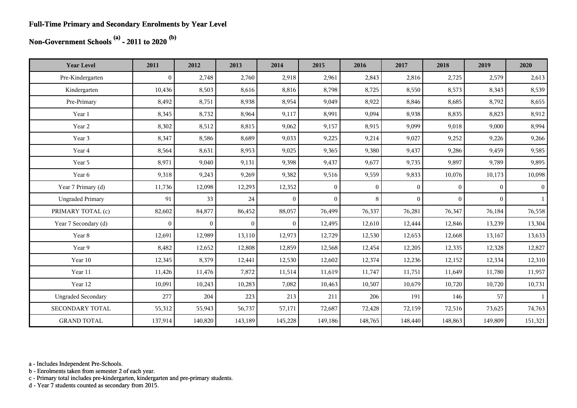#### **Full-Time Primary and Secondary Enrolments by Year Level**

## **Non-Government Schools (a) - 2011 to 2020 (b)**

| <b>Year Level</b>         | 2011             | 2012           | 2013           | 2014           | 2015         | 2016         | 2017         | 2018         | 2019           | 2020           |
|---------------------------|------------------|----------------|----------------|----------------|--------------|--------------|--------------|--------------|----------------|----------------|
| Pre-Kindergarten          | $\boldsymbol{0}$ | 2,748          | 2,760          | 2,918          | 2,961        | 2,843        | 2,816        | 2,725        | 2,579          | 2,613          |
| Kindergarten              | 10,436           | 8,503          | 8,616          | 8,816          | 8,798        | 8,725        | 8,550        | 8,573        | 8,343          | 8,539          |
| Pre-Primary               | 8,492            | 8,751          | 8,938          | 8,954          | 9,049        | 8,922        | 8,846        | 8,685        | 8,792          | 8,655          |
| Year 1                    | 8,345            | 8,732          | 8,964          | 9,117          | 8,991        | 9,094        | 8,938        | 8,835        | 8,823          | 8,912          |
| Year 2                    | 8,302            | 8,512          | 8,815          | 9,062          | 9,157        | 8,915        | 9,099        | 9,018        | 9,000          | 8,994          |
| Year 3                    | 8,347            | 8,586          | 8,689          | 9,033          | 9,225        | 9,214        | 9,027        | 9,252        | 9,226          | 9,266          |
| Year 4                    | 8,564            | 8,631          | 8,953          | 9,025          | 9,365        | 9,380        | 9,437        | 9,286        | 9,459          | 9,585          |
| Year 5                    | 8,971            | 9,040          | 9,131          | 9,398          | 9,437        | 9,677        | 9,735        | 9,897        | 9,789          | 9,895          |
| Year 6                    | 9,318            | 9,243          | 9,269          | 9,382          | 9,516        | 9,559        | 9,833        | 10,076       | 10,173         | 10,098         |
| Year 7 Primary (d)        | 11,736           | 12,098         | 12,293         | 12,352         | $\mathbf{0}$ | $\mathbf{0}$ | $\mathbf{0}$ | $\mathbf{0}$ | $\overline{0}$ | 0 <sup>1</sup> |
| <b>Ungraded Primary</b>   | 91               | 33             | 24             | $\overline{0}$ | $\mathbf{0}$ | 8            | $\theta$     | $\Omega$     | $\overline{0}$ | 1              |
| PRIMARY TOTAL (c)         | 82,602           | 84,877         | 86,452         | 88,057         | 76,499       | 76,337       | 76,281       | 76,347       | 76,184         | 76,558         |
| Year 7 Secondary (d)      | $\mathbf{0}$     | $\overline{0}$ | $\overline{0}$ | $\overline{0}$ | 12,495       | 12,610       | 12,444       | 12,846       | 13,239         | 13,304         |
| Year 8                    | 12,691           | 12,989         | 13,110         | 12,973         | 12,729       | 12,530       | 12,653       | 12,668       | 13,167         | 13,633         |
| Year 9                    | 8,482            | 12,652         | 12,808         | 12,859         | 12,568       | 12,454       | 12,205       | 12,335       | 12,328         | 12,827         |
| Year 10                   | 12,345           | 8,379          | 12,441         | 12,530         | 12,602       | 12,374       | 12,236       | 12,152       | 12,334         | 12,310         |
| Year 11                   | 11,426           | 11,476         | 7,872          | 11,514         | 11,619       | 11,747       | 11,751       | 11,649       | 11,780         | 11,957         |
| Year 12                   | 10,091           | 10,243         | 10,283         | 7,082          | 10,463       | 10,507       | 10,679       | 10,720       | 10,720         | 10,731         |
| <b>Ungraded Secondary</b> | 277              | 204            | 223            | 213            | 211          | 206          | 191          | 146          | 57             | $\mathbf{1}$   |
| <b>SECONDARY TOTAL</b>    | 55,312           | 55,943         | 56,737         | 57,171         | 72,687       | 72,428       | 72,159       | 72,516       | 73,625         | 74,763         |
| <b>GRAND TOTAL</b>        | 137,914          | 140,820        | 143,189        | 145,228        | 149,186      | 148,765      | 148,440      | 148,863      | 149,809        | 151,321        |

a - Includes Independent Pre-Schools.

b - Enrolments taken from semester 2 of each year.

c - Primary total includes pre-kindergarten, kindergarten and pre-primary students.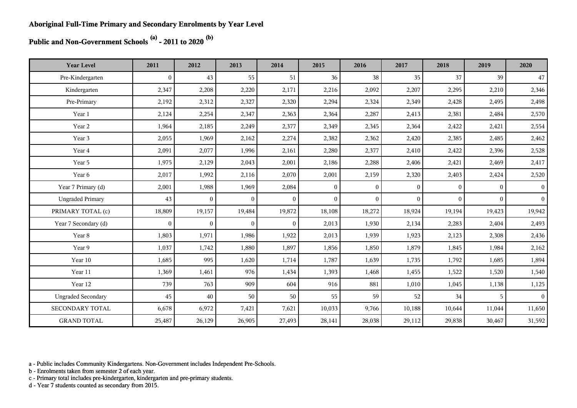**Public and Non-Government Schools (a) - 2011 to 2020 (b)**

| <b>Year Level</b>         | 2011           | 2012           | 2013           | 2014         | 2015           | 2016         | 2017         | 2018         | 2019         | 2020            |
|---------------------------|----------------|----------------|----------------|--------------|----------------|--------------|--------------|--------------|--------------|-----------------|
| Pre-Kindergarten          | $\overline{0}$ | 43             | 55             | 51           | 36             | 38           | 35           | 37           | 39           | 47              |
| Kindergarten              | 2,347          | 2,208          | 2,220          | 2,171        | 2,216          | 2,092        | 2,207        | 2,295        | 2,210        | 2,346           |
| Pre-Primary               | 2,192          | 2,312          | 2,327          | 2,320        | 2,294          | 2,324        | 2,349        | 2,428        | 2,495        | 2,498           |
| Year 1                    | 2,124          | 2,254          | 2,347          | 2,363        | 2,364          | 2,287        | 2,413        | 2,381        | 2,484        | 2,570           |
| Year 2                    | 1,964          | 2,185          | 2,249          | 2,377        | 2,349          | 2,345        | 2,364        | 2,422        | 2,421        | 2,554           |
| Year 3                    | 2,055          | 1,969          | 2,162          | 2,274        | 2,382          | 2,362        | 2,420        | 2,385        | 2,485        | 2,462           |
| Year 4                    | 2,091          | 2,077          | 1,996          | 2,161        | 2,280          | 2,377        | 2,410        | 2,422        | 2,396        | 2,528           |
| Year 5                    | 1,975          | 2,129          | 2,043          | 2,001        | 2,186          | 2,288        | 2,406        | 2,421        | 2,469        | 2,417           |
| Year 6                    | 2,017          | 1,992          | 2,116          | 2,070        | 2,001          | 2,159        | 2,320        | 2,403        | 2,424        | 2,520           |
| Year 7 Primary (d)        | 2,001          | 1,988          | 1,969          | 2,084        | $\overline{0}$ | $\mathbf{0}$ | $\mathbf{0}$ | $\mathbf{0}$ | $\mathbf{0}$ | $\vert 0 \vert$ |
| <b>Ungraded Primary</b>   | 43             | $\overline{0}$ | $\overline{0}$ | $\theta$     | $\theta$       | $\mathbf{0}$ | $\theta$     | $\Omega$     | $\theta$     | $\vert$         |
| PRIMARY TOTAL (c)         | 18,809         | 19,157         | 19,484         | 19,872       | 18,108         | 18,272       | 18,924       | 19,194       | 19,423       | 19,942          |
| Year 7 Secondary (d)      | $\overline{0}$ | $\overline{0}$ | $\overline{0}$ | $\mathbf{0}$ | 2,013          | 1,930        | 2,134        | 2,283        | 2,404        | 2,493           |
| Year 8                    | 1,803          | 1,971          | 1,986          | 1,922        | 2,013          | 1,939        | 1,923        | 2,123        | 2,308        | 2,436           |
| Year 9                    | 1,037          | 1,742          | 1,880          | 1,897        | 1,856          | 1,850        | 1,879        | 1,845        | 1,984        | 2,162           |
| Year 10                   | 1,685          | 995            | 1,620          | 1,714        | 1,787          | 1,639        | 1,735        | 1,792        | 1,685        | 1,894           |
| Year 11                   | 1,369          | 1,461          | 976            | 1,434        | 1,393          | 1,468        | 1,455        | 1,522        | 1,520        | 1,540           |
| Year 12                   | 739            | 763            | 909            | 604          | 916            | 881          | 1,010        | 1,045        | 1,138        | 1,125           |
| <b>Ungraded Secondary</b> | 45             | 40             | 50             | 50           | 55             | 59           | 52           | 34           | 5            | 0 <sup>1</sup>  |
| SECONDARY TOTAL           | 6,678          | 6,972          | 7,421          | 7,621        | 10,033         | 9,766        | 10,188       | 10,644       | 11,044       | 11,650          |
| <b>GRAND TOTAL</b>        | 25,487         | 26,129         | 26,905         | 27,493       | 28,141         | 28,038       | 29,112       | 29,838       | 30,467       | 31,592          |

a - Public includes Community Kindergartens. Non-Government includes Independent Pre-Schools.

b - Enrolments taken from semester 2 of each year.

c - Primary total includes pre-kindergarten, kindergarten and pre-primary students.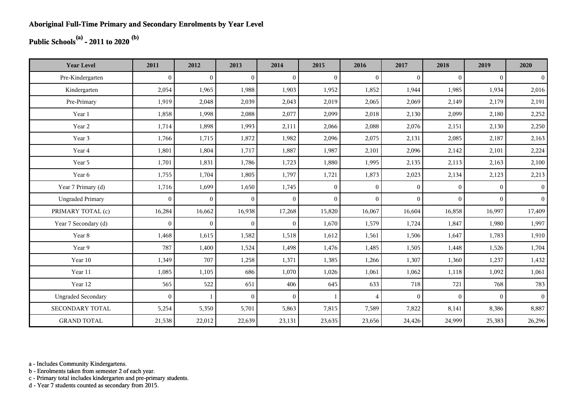## **Public Schools(a) - 2011 to 2020 (b)**

| <b>Year Level</b>         | 2011         | 2012           | 2013           | 2014         | 2015           | 2016           | 2017         | 2018     | 2019     | 2020           |
|---------------------------|--------------|----------------|----------------|--------------|----------------|----------------|--------------|----------|----------|----------------|
| Pre-Kindergarten          | $\theta$     | $\overline{0}$ | $\overline{0}$ | $\Omega$     | $\mathbf{0}$   | $\theta$       | $\mathbf{0}$ | $\Omega$ | $\theta$ | $\overline{0}$ |
| Kindergarten              | 2,054        | 1,965          | 1,988          | 1,903        | 1,952          | 1,852          | 1,944        | 1,985    | 1,934    | 2,016          |
| Pre-Primary               | 1,919        | 2,048          | 2,039          | 2,043        | 2,019          | 2,065          | 2,069        | 2,149    | 2,179    | 2,191          |
| Year 1                    | 1,858        | 1,998          | 2,088          | 2,077        | 2,099          | 2,018          | 2,130        | 2,099    | 2,180    | 2,252          |
| Year 2                    | 1,714        | 1,898          | 1,993          | 2,111        | 2,066          | 2,088          | 2,076        | 2,151    | 2,130    | 2,250          |
| Year 3                    | 1,766        | 1,715          | 1,872          | 1,982        | 2,096          | 2,075          | 2,131        | 2,085    | 2,187    | 2,163          |
| Year 4                    | 1,801        | 1,804          | 1,717          | 1,887        | 1,987          | 2,101          | 2,096        | 2,142    | 2,101    | 2,224          |
| Year 5                    | 1,701        | 1,831          | 1,786          | 1,723        | 1,880          | 1,995          | 2,135        | 2,113    | 2,163    | 2,100          |
| Year 6                    | 1,755        | 1,704          | 1,805          | 1,797        | 1,721          | 1,873          | 2,023        | 2,134    | 2,123    | 2,213          |
| Year 7 Primary (d)        | 1,716        | 1,699          | 1,650          | 1,745        | $\overline{0}$ | $\overline{0}$ | $\mathbf{0}$ | $\Omega$ | $\Omega$ | 0 <sup>1</sup> |
| <b>Ungraded Primary</b>   | $\mathbf{0}$ | $\mathbf{0}$   | $\mathbf{0}$   | $\mathbf{0}$ | $\overline{0}$ | $\theta$       | $\mathbf{0}$ | $\Omega$ | $\Omega$ | 0 <sup>1</sup> |
| PRIMARY TOTAL (c)         | 16,284       | 16,662         | 16,938         | 17,268       | 15,820         | 16,067         | 16,604       | 16,858   | 16,997   | 17,409         |
| Year 7 Secondary (d)      | $\mathbf{0}$ | $\mathbf{0}$   | $\overline{0}$ | $\mathbf{0}$ | 1,670          | 1,579          | 1,724        | 1,847    | 1,980    | 1,997          |
| Year 8                    | 1,468        | 1,615          | 1,582          | 1,518        | 1,612          | 1,561          | 1,506        | 1,647    | 1,783    | 1,910          |
| Year 9                    | 787          | 1,400          | 1,524          | 1,498        | 1,476          | 1,485          | 1,505        | 1,448    | 1,526    | 1,704          |
| Year 10                   | 1,349        | 707            | 1,258          | 1,371        | 1,385          | 1,266          | 1,307        | 1,360    | 1,237    | 1,432          |
| Year 11                   | 1,085        | 1,105          | 686            | 1,070        | 1,026          | 1,061          | 1,062        | 1,118    | 1,092    | 1,061          |
| Year 12                   | 565          | 522            | 651            | 406          | 645            | 633            | 718          | 721      | 768      | 783            |
| <b>Ungraded Secondary</b> | $\theta$     |                | $\overline{0}$ | $\Omega$     | $\mathbf{1}$   | $\overline{4}$ | $\mathbf{0}$ | $\Omega$ | $\theta$ | 0 <sup>1</sup> |
| <b>SECONDARY TOTAL</b>    | 5,254        | 5,350          | 5,701          | 5,863        | 7,815          | 7,589          | 7,822        | 8,141    | 8,386    | 8,887          |
| <b>GRAND TOTAL</b>        | 21,538       | 22,012         | 22,639         | 23,131       | 23,635         | 23,656         | 24,426       | 24,999   | 25,383   | 26,296         |

a - Includes Community Kindergartens.

b - Enrolments taken from semester 2 of each year.

c - Primary total includes kindergarten and pre-primary students.